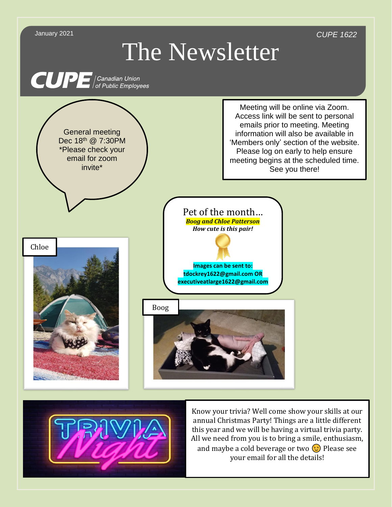



Know your trivia? Well come show your skills at our annual Christmas Party! Things are a little different this year and we will be having a virtual trivia party. All we need from you is to bring a smile, enthusiasm, and maybe a cold beverage or two  $\odot$  Please see your email for all the details!